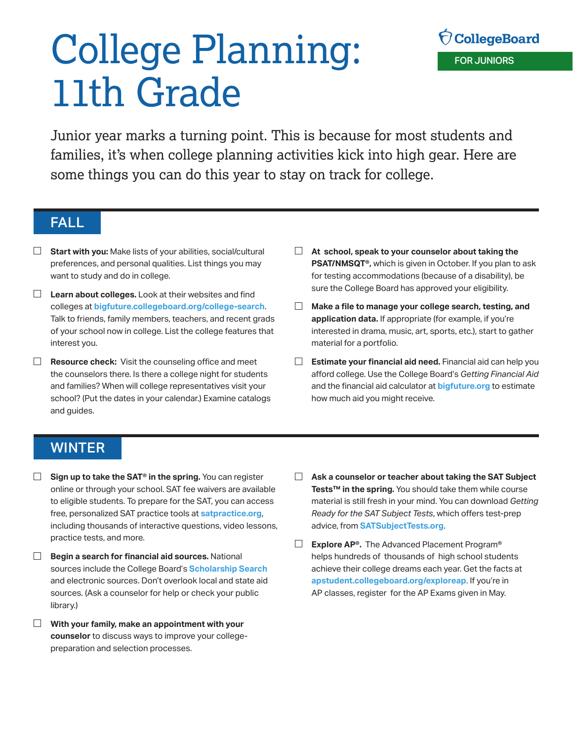# College Planning: 11th Grade

Junior year marks a turning point. This is because for most students and families, it's when college planning activities kick into high gear. Here are some things you can do this year to stay on track for college.

#### FALL

- □ **Start with you:** Make lists of your abilities, social/cultural preferences, and personal qualities. List things you may want to study and do in college.
- **Learn about colleges.** Look at their websites and find colleges at **[bigfuture.collegeboard.org/college-search](http://bigfuture.collegeboard.org/college-search)**. Talk to friends, family members, teachers, and recent grads of your school now in college. List the college features that interest you.
- $\Box$  **Resource check:** Visit the counseling office and meet the counselors there. Is there a college night for students and families? When will college representatives visit your school? (Put the dates in your calendar.) Examine catalogs and guides.
- **At school, speak to your counselor about taking the PSAT/NMSQT®,** which is given in October. If you plan to ask for testing accommodations (because of a disability), be sure the College Board has approved your eligibility.
- $\Box$ **Make a file to manage your college search, testing, and application data.** If appropriate (for example, if you're interested in drama, music, art, sports, etc.), start to gather material for a portfolio.
- **Estimate your financial aid need.** Financial aid can help you afford college. Use the College Board's *Getting Financial Aid*  and the financial aid calculator at **[bigfuture.org](http://bigfuture.org)** to estimate how much aid you might receive.

## WINTER

- $\Box$ **Sign up to take the SAT® in the spring.** You can register online or through your school. SAT fee waivers are available to eligible students. To prepare for the SAT, you can access free, personalized SAT practice tools at **[satpractice.org](http://satpractice.org)**, including thousands of interactive questions, video lessons, practice tests, and more.
- $\Box$ **Begin a search for financial aid sources.** National sources include the College Board's **[Scholarship Search](https://bigfuture.collegeboard.org/scholarship-search )** and electronic sources. Don't overlook local and state aid sources. (Ask a counselor for help or check your public library.)
- **With your family, make an appointment with your counselor** to discuss ways to improve your collegepreparation and selection processes.
- **Ask a counselor or teacher about taking the SAT Subject Tests™ in the spring.** You should take them while course material is still fresh in your mind. You can download *Getting Ready for the SAT Subject Tests*, which offers test-prep advice, from **[SATSubjectTests.org](http://SATSubjectTests.org)**.
- $\Box$ **Explore AP®.** The Advanced Placement Program® helps hundreds of thousands of high school students achieve their college dreams each year. Get the facts at **[apstudent.collegeboard.org/exploreap](http://apstudent.collegeboard.org/exploreap)**. If you're in AP classes, register for the AP Exams given in May.